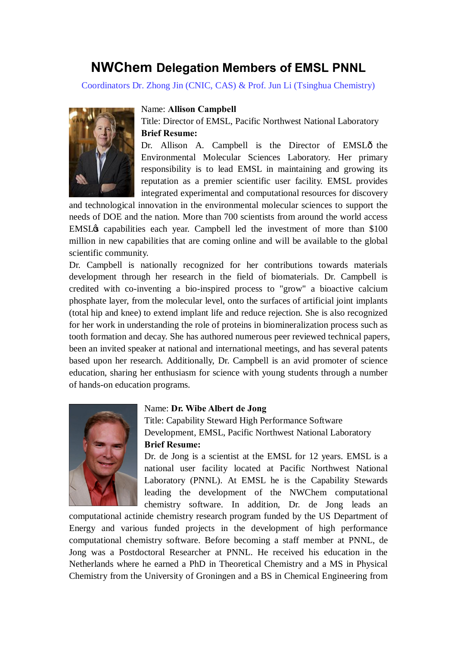# **NWChem Delegation Members of EMSL PNNL**

Coordinators Dr. Zhong Jin (CNIC, CAS) & Prof. Jun Li (Tsinghua Chemistry)



#### Name: **Allison Campbell**

Title: Director of EMSL, Pacific Northwest National Laboratory **Brief Resume:**

Dr. Allison A. Campbell is the Director of EMSLô the Environmental Molecular Sciences Laboratory. Her primary responsibility is to lead EMSL in maintaining and growing its reputation as a premier scientific user facility. EMSL provides integrated experimental and computational resources for discovery

and technological innovation in the environmental molecular sciences to support the needs of DOE and the nation. More than 700 scientists from around the world access EMSL $\alpha$  capabilities each year. Campbell led the investment of more than \$100 million in new capabilities that are coming online and will be available to the global scientific community.

Dr. Campbell is nationally recognized for her contributions towards materials development through her research in the field of biomaterials. Dr. Campbell is credited with co-inventing a bio-inspired process to "grow" a bioactive calcium phosphate layer, from the molecular level, onto the surfaces of artificial joint implants (total hip and knee) to extend implant life and reduce rejection. She is also recognized for her work in understanding the role of proteins in biomineralization process such as tooth formation and decay. She has authored numerous peer reviewed technical papers, been an invited speaker at national and international meetings, and has several patents based upon her research. Additionally, Dr. Campbell is an avid promoter of science education, sharing her enthusiasm for science with young students through a number of hands-on education programs.



#### Name: **Dr. Wibe Albert de Jong**

Title: Capability Steward High Performance Software Development, EMSL, Pacific Northwest National Laboratory **Brief Resume:**

Dr. de Jong is a scientist at the EMSL for 12 years. EMSL is a national user facility located at Pacific Northwest National Laboratory (PNNL). At EMSL he is the Capability Stewards leading the development of the NWChem computational chemistry software. In addition, Dr. de Jong leads an

computational actinide chemistry research program funded by the US Department of Energy and various funded projects in the development of high performance computational chemistry software. Before becoming a staff member at PNNL, de Jong was a Postdoctoral Researcher at PNNL. He received his education in the Netherlands where he earned a PhD in Theoretical Chemistry and a MS in Physical Chemistry from the University of Groningen and a BS in Chemical Engineering from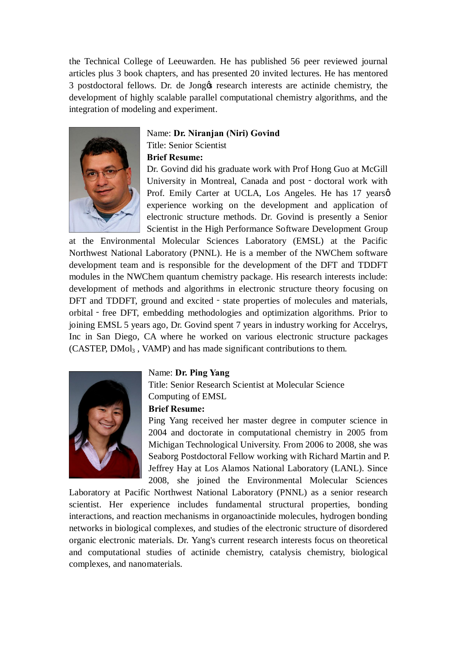the Technical College of Leeuwarden. He has published 56 peer reviewed journal articles plus 3 book chapters, and has presented 20 invited lectures. He has mentored 3 postdoctoral fellows. Dr. de Jong & research interests are actinide chemistry, the development of highly scalable parallel computational chemistry algorithms, and the integration of modeling and experiment.



# Name: **Dr. Niranjan (Niri) Govind** Title: Senior Scientist

# **Brief Resume:**

Dr. Govind did his graduate work with Prof Hong Guo at McGill University in Montreal, Canada and post - doctoral work with Prof. Emily Carter at UCLA, Los Angeles. He has 17 yearsol experience working on the development and application of electronic structure methods. Dr. Govind is presently a Senior Scientist in the High Performance Software Development Group

at the Environmental Molecular Sciences Laboratory (EMSL) at the Pacific Northwest National Laboratory (PNNL). He is a member of the NWChem software development team and is responsible for the development of the DFT and TDDFT modules in the NWChem quantum chemistry package. His research interests include: development of methods and algorithms in electronic structure theory focusing on DFT and TDDFT, ground and excited - state properties of molecules and materials, orbital - free DFT, embedding methodologies and optimization algorithms. Prior to joining EMSL 5 years ago, Dr. Govind spent 7 years in industry working for Accelrys, Inc in San Diego, CA where he worked on various electronic structure packages (CASTEP, DMol3 , VAMP) and has made significant contributions to them.



#### Name: **Dr. Ping Yang**

Title: Senior Research Scientist at Molecular Science Computing of EMSL

# **Brief Resume:**

Ping Yang received her master degree in computer science in 2004 and doctorate in computational chemistry in 2005 from Michigan Technological University. From 2006 to 2008, she was Seaborg Postdoctoral Fellow working with Richard Martin and P. Jeffrey Hay at Los Alamos National Laboratory (LANL). Since 2008, she joined the Environmental Molecular Sciences

Laboratory at Pacific Northwest National Laboratory (PNNL) as a senior research scientist. Her experience includes fundamental structural properties, bonding interactions, and reaction mechanisms in organoactinide molecules, hydrogen bonding networks in biological complexes, and studies of the electronic structure of disordered organic electronic materials. Dr. Yang's current research interests focus on theoretical and computational studies of actinide chemistry, catalysis chemistry, biological complexes, and nanomaterials.